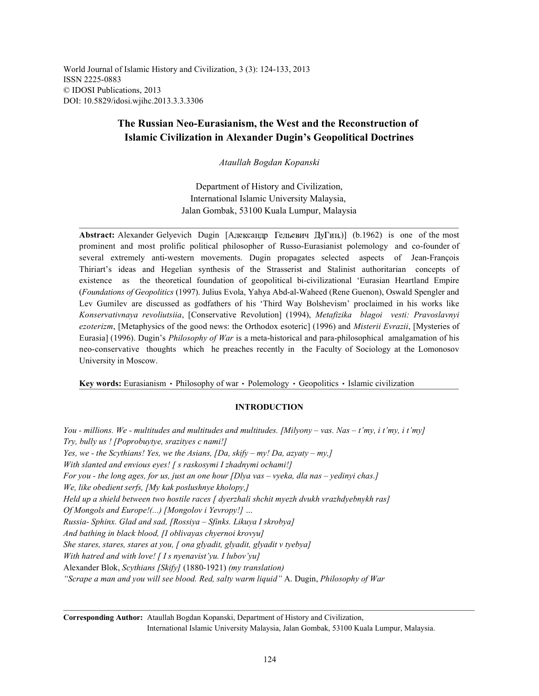World Journal of Islamic History and Civilization, 3 (3): 124-133, 2013 ISSN 2225-0883 © IDOSI Publications, 2013 DOI: 10.5829/idosi.wjihc.2013.3.3.3306

## **The Russian Neo-Eurasianism, the West and the Reconstruction of Islamic Civilization in Alexander Dugin's Geopolitical Doctrines**

*Ataullah Bogdan Kopanski*

Department of History and Civilization, International Islamic University Malaysia, Jalan Gombak, 53100 Kuala Lumpur, Malaysia

**Abstract:** Alexander Gelyevich Dugin [Александр Гельевич ДуГин.)] (b.1962) is one of the most prominent and most prolific political philosopher of Russo-Eurasianist polemology and co-founder of several extremely anti-western movements. Dugin propagates selected aspects of Jean-François Thiriart's ideas and Hegelian synthesis of the Strasserist and Stalinist authoritarian concepts of existence as the theoretical foundation of geopolitical bi-civilizational 'Eurasian Heartland Empire (*Foundations of Geopolitics* (1997). Julius Evola, Yahya Abd-al-Waheed (Rene Guenon), Oswald Spengler and Lev Gumilev are discussed as godfathers of his 'Third Way Bolshevism' proclaimed in his works like *Konservativnaya revoliutsiia*, [Conservative Revolution] (1994), *Metafizika blagoi vesti: Pravoslavnyi ezoterizm*, [Metaphysics of the good news: the Orthodox esoteric] (1996) and *Misterii Evrazii*, [Mysteries of Eurasia] (1996). Dugin's *Philosophy of War* is a meta-historical and para-philosophical amalgamation of his neo-conservative thoughts which he preaches recently in the Faculty of Sociology at the Lomonosov University in Moscow.

**Key words:** Eurasianism • Philosophy of war • Polemology • Geopolitics • Islamic civilization

### **INTRODUCTION**

*You - millions. We - multitudes and multitudes and multitudes. [Milyony – vas. Nas – t'my, i t'my, i t'my] Try, bully us ! [Poprobuytye, srazityes c nami!] Yes, we - the Scythians! Yes, we the Asians, [Da, skify – my! Da, azyaty – my,] With slanted and envious eyes! [ s raskosymi I zhadnymi ochami!] For you - the long ages, for us, just an one hour [Dlya vas – vyeka, dla nas – yedinyi chas.] We, like obedient serfs, [My kak poslushnye kholopy,] Held up a shield between two hostile races [ dyerzhali shchit myezh dvukh vrazhdyebnykh ras] Of Mongols and Europe!(...) [Mongolov i Yevropy!] … Russia- Sphinx. Glad and sad, [Rossiya – Sfinks. Likuya I skrobya] And bathing in black blood, [I oblivayas chyernoi krovyu] She stares, stares, stares at you, [ ona glyadit, glyadit, glyadit v tyebya] With hatred and with love! [ I s nyenavist'yu. I lubov'yu]* Alexander Blok, *Scythians [Skify]* (1880-1921) *(my translation) "Scrape a man and you will see blood. Red, salty warm liquid"* A. Dugin, *Philosophy of War*

**Corresponding Author:** Ataullah Bogdan Kopanski, Department of History and Civilization, International Islamic University Malaysia, Jalan Gombak, 53100 Kuala Lumpur, Malaysia.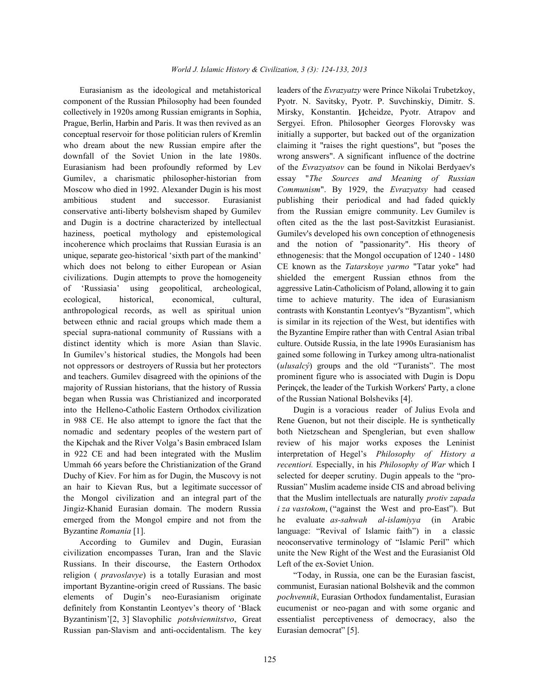component of the Russian Philosophy had been founded Pyotr. N. Savitsky, Pyotr. P. Suvchinskiy, Dimitr. S. collectively in 1920s among Russian emigrants in Sophia, Mirsky, Konstantin. *H*cheidze, Pyotr. Atrapov and Prague, Berlin, Harbin and Paris. It was then revived as an Sergyei. Efron. Philosopher Georges Florovsky was conceptual reservoir for those politician rulers of Kremlin initially a supporter, but backed out of the organization who dream about the new Russian empire after the claiming it "raises the right questions", but "poses the downfall of the Soviet Union in the late 1980s. wrong answers". A significant influence of the doctrine Eurasianism had been profoundly reformed by Lev of the *Evrazyatsov* can be found in Nikolai Berdyaev's Gumilev, a charismatic philosopher-historian from essay "*The Sources and Meaning of Russian* Moscow who died in 1992. Alexander Dugin is his most *Communism*". By 1929, the *Evrazyatsy* had ceased ambitious student and successor. Eurasianist publishing their periodical and had faded quickly conservative anti-liberty bolshevism shaped by Gumilev from the Russian emigre community. Lev Gumilev is and Dugin is a doctrine characterized by intellectual often cited as the the last post-Savitzkist Eurasianist. haziness, poetical mythology and epistemological Gumilev's developed his own conception of ethnogenesis incoherence which proclaims that Russian Eurasia is an and the notion of "passionarity". His theory of unique, separate geo-historical 'sixth part of the mankind' ethnogenesis: that the Mongol occupation of 1240 - 1480 which does not belong to either European or Asian CE known as the *Tatarskoye yarmo* "Tatar yoke" had civilizations. Dugin attempts to prove the homogeneity shielded the emergent Russian ethnos from the of 'Russiasia' using geopolitical, archeological, aggressive Latin-Catholicism of Poland, allowing it to gain ecological, historical, economical, cultural, time to achieve maturity. The idea of Eurasianism anthropological records, as well as spiritual union contrasts with Konstantin Leontyev's "Byzantism", which between ethnic and racial groups which made them a is similar in its rejection of the West, but identifies with special supra-national community of Russians with a the Byzantine Empire rather than with Central Asian tribal distinct identity which is more Asian than Slavic. culture. Outside Russia, in the late 1990s Eurasianism has In Gumilev's historical studies, the Mongols had been gained some following in Turkey among ultra-nationalist not oppressors or destroyers of Russia but her protectors (*ulusalcý*) groups and the old "Turanists". The most and teachers. Gumilev disagreed with the opinions of the prominent figure who is associated with Dugin is Dopu majority of Russian historians, that the history of Russia Perinçek, the leader of the Turkish Workers' Party, a clone began when Russia was Christianized and incorporated of the Russian National Bolsheviks [4]. into the Helleno-Catholic Eastern Orthodox civilization Dugin is a voracious reader of Julius Evola and in 988 CE. He also attempt to ignore the fact that the Rene Guenon, but not their disciple. He is synthetically nomadic and sedentary peoples of the western part of both Nietzschean and Spenglerian, but even shallow the Kipchak and the River Volga's Basin embraced Islam review of his major works exposes the Leninist in 922 CE and had been integrated with the Muslim interpretation of Hegel's *Philosophy of History a* Ummah 66 years before the Christianization of the Grand *recentiori.* Especially, in his *Philosophy of War* which I Duchy of Kiev. For him as for Dugin, the Muscovy is not selected for deeper scrutiny. Dugin appeals to the "proan hair to Kievan Rus, but a legitimate successor of Russian" Muslim academe inside CIS and abroad beliving the Mongol civilization and an integral part of the that the Muslim intellectuals are naturally *protiv zapada* Jingiz-Khanid Eurasian domain. The modern Russia *i za vastokom*, ("against the West and pro-East"). But emerged from the Mongol empire and not from the he evaluate *as-sahwah al-islamiyya* (in Arabic Byzantine *Romania* [1]. **language: "Revival of Islamic faith")** in a classic

civilization encompasses Turan, Iran and the Slavic unite the New Right of the West and the Eurasianist Old Russians. In their discourse, the Eastern Orthodox Left of the ex-Soviet Union. religion ( *pravoslavye*) is a totally Eurasian and most "Today, in Russia, one can be the Eurasian fascist, important Byzantine-origin creed of Russians. The basic communist, Eurasian national Bolshevik and the common elements of Dugin's neo-Eurasianism originate *pochvennik*, Eurasian Orthodox fundamentalist, Eurasian definitely from Konstantin Leontyev's theory of 'Black eucumenist or neo-pagan and with some organic and Byzantinism'[2, 3] Slavophilic *potshviennitstvo*, Great essentialist perceptiveness of democracy, also the Russian pan-Slavism and anti-occidentalism. The key Eurasian democrat" [5].

Eurasianism as the ideological and metahistorical leaders of the *Evrazyatzy* were Prince Nikolai Trubetzkoy,

According to Gumilev and Dugin, Eurasian neoconservative terminology of "Islamic Peril" which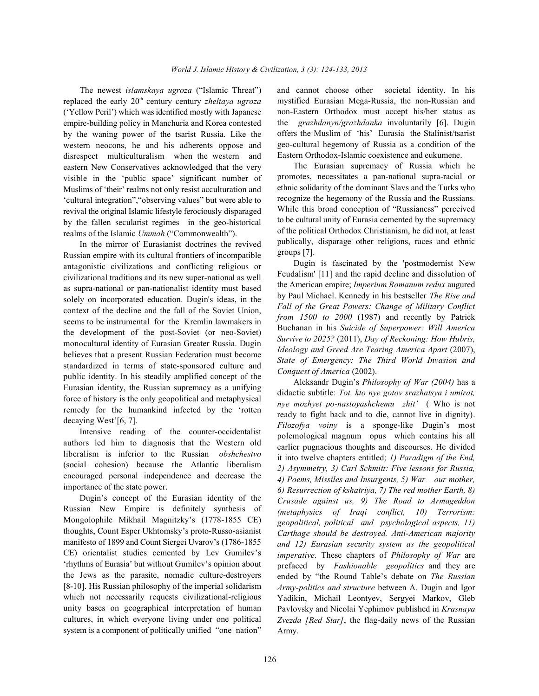replaced the early 20<sup>th</sup> century century *zheltaya ugroza* ('Yellow Peril') which was identified mostly with Japanese empire-building policy in Manchuria and Korea contested by the waning power of the tsarist Russia. Like the western neocons, he and his adherents oppose and disrespect multiculturalism when the western and eastern New Conservatives acknowledged that the very visible in the 'public space' significant number of Muslims of 'their' realms not only resist acculturation and 'cultural integration","observing values" but were able to revival the original Islamic lifestyle ferociously disparaged by the fallen secularist regimes in the geo-historical realms of the Islamic *Ummah* ("Commonwealth").

In the mirror of Eurasianist doctrines the revived Russian empire with its cultural frontiers of incompatible antagonistic civilizations and conflicting religious or civilizational traditions and its new super-national as well as supra-national or pan-nationalist identity must based solely on incorporated education. Dugin's ideas, in the context of the decline and the fall of the Soviet Union, seems to be instrumental for the Kremlin lawmakers in the development of the post-Soviet (or neo-Soviet) monocultural identity of Eurasian Greater Russia. Dugin believes that a present Russian Federation must become standardized in terms of state-sponsored culture and public identity. In his steadily amplified concept of the Eurasian identity, the Russian supremacy as a unifying force of history is the only geopolitical and metaphysical remedy for the humankind infected by the 'rotten decaying West'[6, 7].

Intensive reading of the counter-occidentalist authors led him to diagnosis that the Western old liberalism is inferior to the Russian *obshchestvo* (social cohesion) because the Atlantic liberalism encouraged personal independence and decrease the importance of the state power.

Dugin's concept of the Eurasian identity of the Russian New Empire is definitely synthesis of Mongolophile Mikhail Magnitzky's (1778-1855 CE) thoughts, Count Esper Ukhtomsky's proto-Russo-asianist manifesto of 1899 and Count Siergei Uvarov's (1786-1855 CE) orientalist studies cemented by Lev Gumilev's 'rhythms of Eurasia' but without Gumilev's opinion about the Jews as the parasite, nomadic culture-destroyers [8-10]. His Russian philosophy of the imperial solidarism which not necessarily requests civilizational-religious unity bases on geographical interpretation of human cultures, in which everyone living under one political system is a component of politically unified "one nation"

The newest *islamskaya ugroza* ("Islamic Threat") and cannot choose other societal identity. In his mystified Eurasian Mega-Russia, the non-Russian and non-Eastern Orthodox must accept his/her status as the *grazhdanyn/grazhdanka* involuntarily [6]. Dugin offers the Muslim of 'his' Eurasia the Stalinist/tsarist geo-cultural hegemony of Russia as a condition of the Eastern Orthodox-Islamic coexistence and eukumene.

> The Eurasian supremacy of Russia which he promotes, necessitates a pan-national supra-racial or ethnic solidarity of the dominant Slavs and the Turks who recognize the hegemony of the Russia and the Russians. While this broad conception of "Russianess" perceived to be cultural unity of Eurasia cemented by the supremacy of the political Orthodox Christianism, he did not, at least publically, disparage other religions, races and ethnic groups [7].

> Dugin is fascinated by the 'postmodernist New Feudalism' [11] and the rapid decline and dissolution of the American empire; *Imperium Romanum redux* augured by Paul Michael. Kennedy in his bestseller *The Rise and Fall of the Great Powers: Change of Military Conflict from 1500 to 2000* (1987) and recently by Patrick Buchanan in his *Suicide of Superpower: Will America Survive to 2025?* (2011), *Day of Reckoning: How Hubris, Ideology and Greed Are Tearing America Apart* (2007), *State of Emergency: The Third World Invasion and Conquest of America* (2002).

> Aleksandr Dugin's *Philosophy of War (2004)* has a didactic subtitle: *Tot, kto nye gotov srazhatsya i umirat, nye mozhyet po-nastoyashchemu zhit'* ( Who is not ready to fight back and to die, cannot live in dignity). *Filozofya voiny* is a sponge-like Dugin's most polemological magnum opus which contains his all earlier pugnacious thoughts and discourses. He divided it into twelve chapters entitled; *1) Paradigm of the End, 2) Asymmetry, 3) Carl Schmitt: Five lessons for Russia, 4) Poems, Missiles and Insurgents, 5) War – our mother, 6) Resurrection of kshatriya, 7) The red mother Earth, 8) Crusade against us, 9) The Road to Armageddon (metaphysics of Iraqi conflict, 10) Terrorism: geopolitical, political and psychological aspects, 11) Carthage should be destroyed. Anti-American majority and 12) Eurasian security system as the geopolitical imperative.* These chapters of *Philosophy of War* are prefaced by *Fashionable geopolitics* and they are ended by "the Round Table's debate on *The Russian Army-politics and structure* between A. Dugin and Igor Yadikin, Michail Leontyev, Sergyei Markov, Gleb Pavlovsky and Nicolai Yephimov published in *Krasnaya Zvezda [Red Star]*, the flag-daily news of the Russian Army.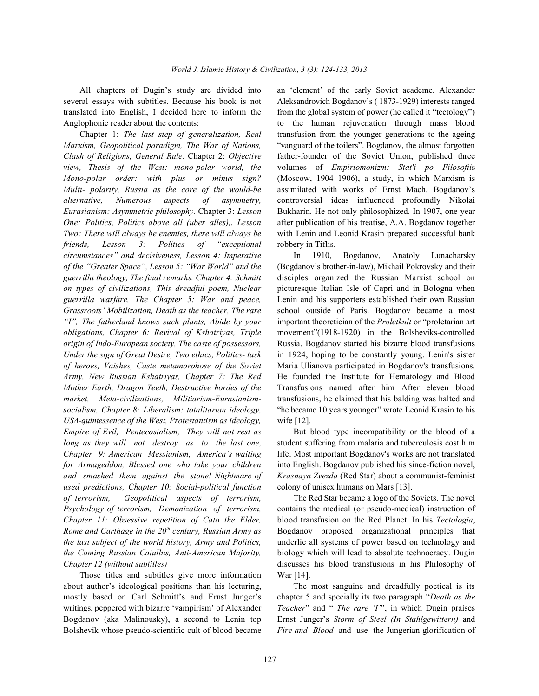several essays with subtitles. Because his book is not Aleksandrovich Bogdanov's ( 1873-1929) interests ranged translated into English, I decided here to inform the from the global system of power (he called it "tectology") Anglophonic reader about the contents: to the human rejuvenation through mass blood

*Marxism, Geopolitical paradigm, The War of Nations,* "vanguard of the toilers". Bogdanov, the almost forgotten *Clash of Religions, General Rule.* Chapter 2: *Objective* father-founder of the Soviet Union, published three *view, Thesis of the West: mono-polar world, the* volumes of *Empiriomonizm: Stat'i po Filosofii*s *Mono-polar order: with plus or minus sign?* (Moscow, 1904–1906), a study, in which Marxism is *Multi- polarity, Russia as the core of the would-be* assimilated with works of Ernst Mach. Bogdanov's *alternative, Numerous aspects of asymmetry,* controversial ideas influenced profoundly Nikolai *Eurasianism: Asymmetric philosophy.* Chapter 3: *Lesson* Bukharin. He not only philosophized. In 1907, one year *One: Politics, Politics above all (uber alles),. Lesson* after publication of his treatise, A.A. Bogdanov together *Two: There will always be enemies, there will always be* with Lenin and Leonid Krasin prepared successful bank *friends, Lesson 3: Politics of "exceptional* robbery in Tiflis. *circumstances" and decisiveness, Lesson 4: Imperative* In 1910, Bogdanov, Anatoly Lunacharsky *of the "Greater Space", Lesson 5: "War World" and the* (Bogdanov's brother-in-law), Mikhail Pokrovsky and their *guerrilla theology, The final remarks. Chapter 4: Schmitt* disciples organized the Russian Marxist school on *on types of civilizations, This dreadful poem, Nuclear* picturesque Italian Isle of Capri and in Bologna when *guerrilla warfare, The Chapter 5: War and peace,* Lenin and his supporters established their own Russian *Grassroots' Mobilization, Death as the teacher, The rare* school outside of Paris. Bogdanov became a most *"I", The fatherland knows such plants, Abide by your* important theoretician of the *Proletkult* or "proletarian art *obligations, Chapter 6: Revival of Kshatriyas, Triple* movement"(1918-1920) in the Bolsheviks-controlled *origin of Indo-European society, The caste of possessors,* Russia. Bogdanov started his bizarre blood transfusions *Under the sign of Great Desire, Two ethics, Politics- task* in 1924, hoping to be constantly young. Lenin's sister *of heroes, Vaishes, Caste metamorphose of the Soviet* Maria Ulianova participated in Bogdanov's transfusions. *Army, New Russian Kshatriyas, Chapter 7: The Red* He founded the Institute for Hematology and Blood *Mother Earth, Dragon Teeth, Destructive hordes of the* Transfusions named after him After eleven blood *market, Meta-civilizations, Militiarism-Eurasianism-* transfusions, he claimed that his balding was halted and *socialism, Chapter 8: Liberalism: totalitarian ideology,* "he became 10 years younger" wrote Leonid Krasin to his *USA-quintessence of the West, Protestantism as ideology,* wife [12]. *Empire of Evil, Pentecostalism, They will not rest as* But blood type incompatibility or the blood of a *long as they will not destroy as to the last one,* student suffering from malaria and tuberculosis cost him *Chapter 9: American Messianism, America's waiting* life. Most important Bogdanov's works are not translated *for Armageddon, Blessed one who take your children* into English. Bogdanov published his since-fiction novel, *and smashed them against the stone! Nightmare of Krasnaya Zvezda* (Red Star) about a communist-feminist *used predictions, Chapter 10: Social-political function* colony of unisex humans on Mars [13]. *of terrorism, Geopolitical aspects of terrorism,* The Red Star became a logo of the Soviets. The novel *Psychology of terrorism, Demonization of terrorism,* contains the medical (or pseudo-medical) instruction of *Chapter 11: Obsessive repetition of Cato the Elder,* blood transfusion on the Red Planet. In his *Tectologia*, *Rome and Carthage in the 20<sup>th</sup> century, Russian Army as* Bogdanov proposed organizational principles that *the last subject of the world history, Army and Politics,* underlie all systems of power based on technology and *the Coming Russian Catullus, Anti-American Majority,* biology which will lead to absolute technocracy. Dugin *Chapter 12 (without subtitles)* discusses his blood transfusions in his Philosophy of

Those titles and subtitles give more information War [14]. about author's ideological positions than his lecturing, The most sanguine and dreadfully poetical is its mostly based on Carl Schmitt's and Ernst Junger's chapter 5 and specially its two paragraph "*Death as the* writings, peppered with bizarre 'vampirism' of Alexander *Teacher*" and " *The rare 'I*", in which Dugin praises Bogdanov (aka Malinousky), a second to Lenin top Ernst Junger's *Storm of Steel (In Stahlgewittern)* and

All chapters of Dugin's study are divided into an 'element' of the early Soviet academe. Alexander Chapter 1: *The last step of generalization, Real* transfusion from the younger generations to the ageing

Bolshevik whose pseudo-scientific cult of blood became *Fire and Blood* and use the Jungerian glorification of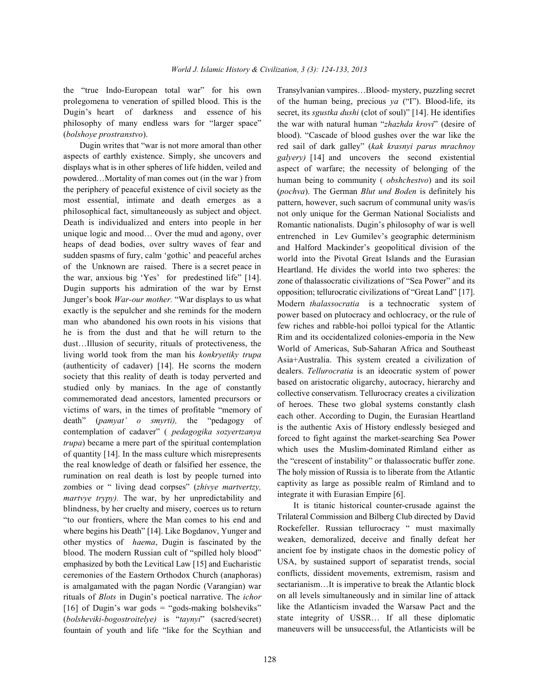the "true Indo-European total war" for his own Transylvanian vampires…Blood- mystery, puzzling secret prolegomena to veneration of spilled blood. This is the Dugin's heart of darkness and essence of his philosophy of many endless wars for "larger space" (*bolshoye prostranstvo*).

Dugin writes that "war is not more amoral than other aspects of earthly existence. Simply, she uncovers and displays what is in other spheres of life hidden, veiled and powdered…Mortality of man comes out (in the war ) from the periphery of peaceful existence of civil society as the most essential, intimate and death emerges as a philosophical fact, simultaneously as subject and object. Death is individualized and enters into people in her unique logic and mood… Over the mud and agony, over heaps of dead bodies, over sultry waves of fear and sudden spasms of fury, calm 'gothic' and peaceful arches of the Unknown are raised. There is a secret peace in the war, anxious big 'Yes' for predestined life" [14]. Dugin supports his admiration of the war by Ernst Junger's book *War-our mother.* "War displays to us what exactly is the sepulcher and she reminds for the modern man who abandoned his own roots in his visions that he is from the dust and that he will return to the dust…Illusion of security, rituals of protectiveness, the living world took from the man his *konkryetiky trupa* (authenticity of cadaver) [14]. He scorns the modern society that this reality of death is today perverted and studied only by maniacs. In the age of constantly commemorated dead ancestors, lamented precursors or victims of wars, in the times of profitable "memory of death" (*pamyat' o smyrti),* the "pedagogy of contemplation of cadaver" ( *pedagogika sozyertzanya trupa*) became a mere part of the spiritual contemplation of quantity [14]. In the mass culture which misrepresents the real knowledge of death or falsified her essence, the rumination on real death is lost by people turned into zombies or " living dead corpses" (*zhivye martvertzy, martvye trypy).* The war, by her unpredictability and blindness, by her cruelty and misery, coerces us to return "to our frontiers, where the Man comes to his end and where begins his Death" [14]. Like Bogdanov, Yunger and other mystics of *haema*, Dugin is fascinated by the blood. The modern Russian cult of "spilled holy blood" emphasized by both the Levitical Law [15] and Eucharistic ceremonies of the Eastern Orthodox Church (anaphoras) is amalgamated with the pagan Nordic (Varangian) war rituals of *Blots* in Dugin's poetical narrative. The *ichor* [16] of Dugin's war gods = "gods-making bolsheviks" (*bolsheviki-bogostroitelye)* is "*taynyi*" (sacred/secret) fountain of youth and life "like for the Scythian and

Romantic nationalists. Dugin's philosophy of war is well entrenched in Lev Gumilev's geographic determinism and Halford Mackinder's geopolitical division of the world into the Pivotal Great Islands and the Eurasian Heartland. He divides the world into two spheres: the zone of thalassocratic civilizations of "Sea Power" and its opposition; tellurocratic civilizations of "Great Land" [17]. Modern *thalassocratia* is a technocratic system of power based on plutocracy and ochlocracy, or the rule of few riches and rabble-hoi polloi typical for the Atlantic Rim and its occidentalized colonies-emporia in the New World of Americas, Sub-Saharan Africa and Southeast Asia+Australia. This system created a civilization of dealers. *Tellurocratia* is an ideocratic system of power based on aristocratic oligarchy, autocracy, hierarchy and collective conservatism. Tellurocracy creates a civilization of heroes. These two global systems constantly clash each other. According to Dugin, the Eurasian Heartland is the authentic Axis of History endlessly besieged and forced to fight against the market-searching Sea Power which uses the Muslim-dominated Rimland either as the "crescent of instability" or thalassocratic buffer zone. The holy mission of Russia is to liberate from the Atlantic captivity as large as possible realm of Rimland and to integrate it with Eurasian Empire [6]. It is titanic historical counter-crusade against the Trilateral Commission and Bilberg Club directed by David Rockefeller. Russian tellurocracy " must maximally weaken, demoralized, deceive and finally defeat her ancient foe by instigate chaos in the domestic policy of USA, by sustained support of separatist trends, social conflicts, dissident movements, extremism, rasism and sectarianism…It is imperative to break the Atlantic block on all levels simultaneously and in similar line of attack like the Atlanticism invaded the Warsaw Pact and the

state integrity of USSR… If all these diplomatic maneuvers will be unsuccessful, the Atlanticists will be

of the human being, precious *ya* ("I"). Blood-life, its secret, its *sgustka dushi* (clot of soul)" [14]. He identifies the war with natural human "*zhazhda krovi*" (desire of blood). "Cascade of blood gushes over the war like the red sail of dark galley" (*kak krasnyi parus mrachnoy galyery)* [14] and uncovers the second existential aspect of warfare; the necessity of belonging of the human being to community ( *obshchestvo*) and its soil (*pochva*). The German *Blut und Boden* is definitely his pattern, however, such sacrum of communal unity was/is not only unique for the German National Socialists and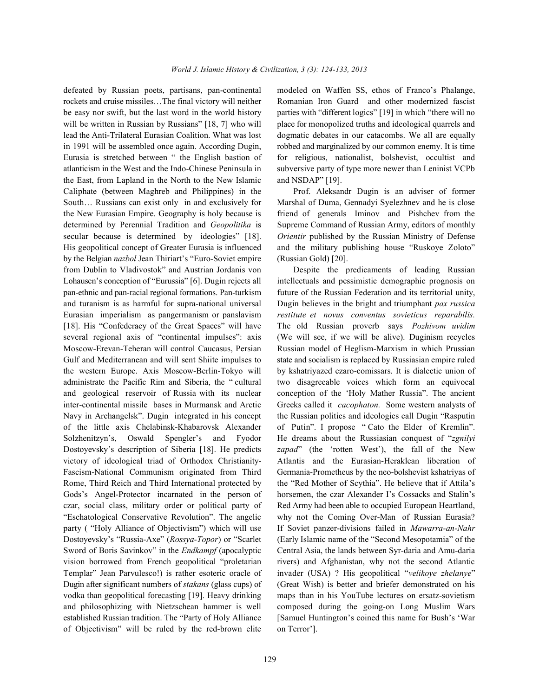rockets and cruise missiles…The final victory will neither Romanian Iron Guard and other modernized fascist be easy nor swift, but the last word in the world history parties with "different logics" [19] in which "there will no will be written in Russian by Russians" [18, 7] who will place for monopolized truths and ideological quarrels and lead the Anti-Trilateral Eurasian Coalition. What was lost dogmatic debates in our catacombs. We all are equally in 1991 will be assembled once again. According Dugin, robbed and marginalized by our common enemy. It is time Eurasia is stretched between " the English bastion of for religious, nationalist, bolshevist, occultist and atlanticism in the West and the Indo-Chinese Peninsula in subversive party of type more newer than Leninist VCPb the East, from Lapland in the North to the New Islamic and NSDAP" [19]. Caliphate (between Maghreb and Philippines) in the Prof. Aleksandr Dugin is an adviser of former South… Russians can exist only in and exclusively for Marshal of Duma, Gennadyi Syelezhnev and he is close the New Eurasian Empire. Geography is holy because is friend of generals Iminov and Pishchev from the determined by Perennial Tradition and *Geopolitika* is Supreme Command of Russian Army, editors of monthly secular because is determined by ideologies" [18]. *Orientir* published by the Russian Ministry of Defense His geopolitical concept of Greater Eurasia is influenced and the military publishing house "Ruskoye Zoloto" by the Belgian *nazbol* Jean Thiriart's "Euro-Soviet empire (Russian Gold) [20]. from Dublin to Vladivostok" and Austrian Jordanis von Despite the predicaments of leading Russian Lohausen's conception of "Eurussia" [6]. Dugin rejects all intellectuals and pessimistic demographic prognosis on pan-ethnic and pan-racial regional formations. Pan-turkism future of the Russian Federation and its territorial unity, and turanism is as harmful for supra-national universal Dugin believes in the bright and triumphant *pax russica* Eurasian imperialism as pangermanism or panslavism *restitute et novus conventus sovieticus reparabilis.* [18]. His "Confederacy of the Great Spaces" will have The old Russian proverb says *Pozhivom uvidim* several regional axis of "continental impulses": axis (We will see, if we will be alive). Duginism recycles Moscow-Erevan-Teheran will control Caucasus, Persian Russian model of Heglism-Marxism in which Prussian Gulf and Mediterranean and will sent Shiite impulses to state and socialism is replaced by Russiasian empire ruled the western Europe. Axis Moscow-Berlin-Tokyo will by kshatriyazed czaro-comissars. It is dialectic union of administrate the Pacific Rim and Siberia, the " cultural two disagreeable voices which form an equivocal and geological reservoir of Russia with its nuclear conception of the 'Holy Mather Russia". The ancient inter-continental missile bases in Murmansk and Arctic Greeks called it *cacophaton.* Some western analysts of Navy in Archangelsk". Dugin integrated in his concept the Russian politics and ideologies call Dugin "Rasputin of the little axis Chelabinsk-Khabarovsk Alexander of Putin". I propose " Cato the Elder of Kremlin". Solzhenitzyn's, Oswald Spengler's and Fyodor He dreams about the Russiasian conquest of "*zgnilyi* Dostoyevsky's description of Siberia [18]. He predicts *zapad*" (the 'rotten West'), the fall of the New victory of ideological triad of Orthodox Christianity- Atlantis and the Eurasian-Heraklean liberation of Fascism-National Communism originated from Third Germania-Prometheus by the neo-bolshevist kshatriyas of Rome, Third Reich and Third International protected by the "Red Mother of Scythia". He believe that if Attila's Gods's Angel-Protector incarnated in the person of horsemen, the czar Alexander I's Cossacks and Stalin's czar, social class, military order or political party of Red Army had been able to occupied European Heartland, "Eschatological Conservative Revolution". The angelic why not the Coming Over-Man of Russian Eurasia? party ( "Holy Alliance of Objectivism") which will use If Soviet panzer-divisions failed in *Mawarra-an-Nahr* Dostoyevsky's "Russia-Axe" (*Rossya-Topor*) or "Scarlet (Early Islamic name of the "Second Mesopotamia" of the Sword of Boris Savinkov" in the *Endkampf* (apocalyptic Central Asia, the lands between Syr-daria and Amu-daria vision borrowed from French geopolitical "proletarian rivers) and Afghanistan, why not the second Atlantic Templar" Jean Parvulesco!) is rather esoteric oracle of invader (USA) ? His geopolitical "*velikoye zhelanye*" Dugin after significant numbers of *stakans* (glass cups) of (Great Wish) is better and briefer demonstrated on his vodka than geopolitical forecasting [19]. Heavy drinking maps than in his YouTube lectures on ersatz-sovietism and philosophizing with Nietzschean hammer is well composed during the going-on Long Muslim Wars established Russian tradition. The "Party of Holy Alliance [Samuel Huntington's coined this name for Bush's 'War of Objectivism" will be ruled by the red-brown elite on Terror'].

defeated by Russian poets, partisans, pan-continental modeled on Waffen SS, ethos of Franco's Phalange,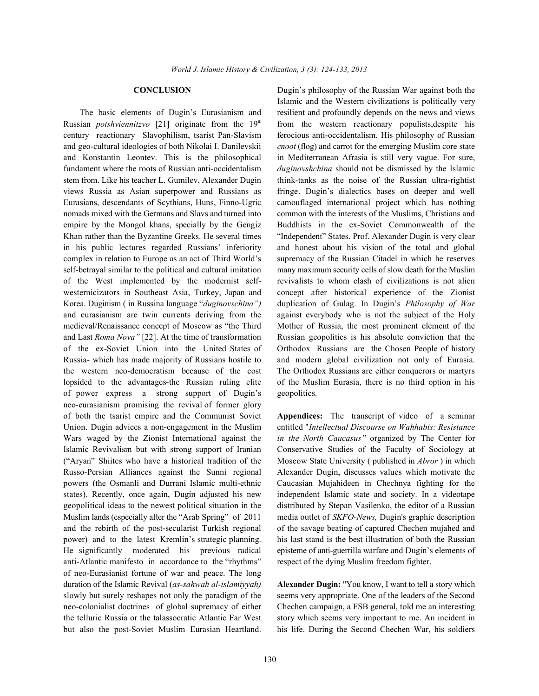Russian *potshviennitzvo* [21] originate from the 19<sup>th</sup> from the western reactionary populists,despite his century reactionary Slavophilism, tsarist Pan-Slavism ferocious anti-occidentalism. His philosophy of Russian and geo-cultural ideologies of both Nikolai I. Danilevskii *cnoot* (flog) and carrot for the emerging Muslim core state and Konstantin Leontev. This is the philosophical in Mediterranean Afrasia is still very vague. For sure, fundament where the roots of Russian anti-occidentalism *duginovshchina* should not be dismissed by the Islamic stem from. Like his teacher L. Gumilev, Alexander Dugin think-tanks as the noise of the Russian ultra-rightist views Russia as Asian superpower and Russians as fringe. Dugin's dialectics bases on deeper and well Eurasians, descendants of Scythians, Huns, Finno-Ugric camouflaged international project which has nothing nomads mixed with the Germans and Slavs and turned into common with the interests of the Muslims, Christians and empire by the Mongol khans, specially by the Gengiz Buddhists in the ex-Soviet Commonwealth of the Khan rather than the Byzantine Greeks. He several times "Independent" States. Prof. Alexander Dugin is very clear in his public lectures regarded Russians' inferiority and honest about his vision of the total and global complex in relation to Europe as an act of Third World's supremacy of the Russian Citadel in which he reserves self-betrayal similar to the political and cultural imitation many maximum security cells of slow death for the Muslim of the West implemented by the modernist self- revivalists to whom clash of civilizations is not alien westernicizators in Southeast Asia, Turkey, Japan and concept after historical experience of the Zionist Korea. Duginism ( in Russina language "*duginovschina")* duplication of Gulag. In Dugin's *Philosophy of War* and eurasianism are twin currents deriving from the against everybody who is not the subject of the Holy medieval/Renaissance concept of Moscow as "the Third Mother of Russia, the most prominent element of the and Last *Roma Nova"* [22]. At the time of transformation Russian geopolitics is his absolute conviction that the of the ex-Soviet Union into the United States of Orthodox Russians are the Chosen People of history Russia- which has made majority of Russians hostile to and modern global civilization not only of Eurasia. the western neo-democratism because of the cost The Orthodox Russians are either conquerors or martyrs lopsided to the advantages-the Russian ruling elite of the Muslim Eurasia, there is no third option in his of power express a strong support of Dugin's geopolitics. neo-eurasianism promising the revival of former glory of both the tsarist empire and the Communist Soviet **Appendices:** The transcript of video of a seminar Union. Dugin advices a non-engagement in the Muslim entitled "*Intellectual Discourse on Wahhabis: Resistance* Wars waged by the Zionist International against the *in the North Caucasus"* organized by The Center for Islamic Revivalism but with strong support of Iranian Conservative Studies of the Faculty of Sociology at ("Aryan" Shiites who have a historical tradition of the Moscow State University ( published in *Abror* ) in which Russo-Persian Alliances against the Sunni regional Alexander Dugin, discusses values which motivate the powers (the Osmanli and Durrani Islamic multi-ethnic Caucasian Mujahideen in Chechnya fighting for the states). Recently, once again, Dugin adjusted his new independent Islamic state and society. In a videotape geopolitical ideas to the newest political situation in the distributed by Stepan Vasilenko, the editor of a Russian Muslim lands (especially after the "Arab Spring" of 2011 media outlet of *SKFO-News,* Dugin's graphic description and the rebirth of the post-secularist Turkish regional of the savage beating of captured Chechen mujahed and power) and to the latest Kremlin's strategic planning. his last stand is the best illustration of both the Russian He significantly moderated his previous radical episteme of anti-guerrilla warfare and Dugin's elements of anti-Atlantic manifesto in accordance to the "rhythms" respect of the dying Muslim freedom fighter. of neo-Eurasianist fortune of war and peace. The long duration of the Islamic Revival (*as-sahwah al-islamiyyah)* **Alexander Dugin:** "You know, I want to tell a story which slowly but surely reshapes not only the paradigm of the seems very appropriate. One of the leaders of the Second neo-colonialist doctrines of global supremacy of either Chechen campaign, a FSB general, told me an interesting the telluric Russia or the talassocratic Atlantic Far West story which seems very important to me. An incident in

**CONCLUSION** Dugin's philosophy of the Russian War against both the The basic elements of Dugin's Eurasianism and resilient and profoundly depends on the news and views Islamic and the Western civilizations is politically very

but also the post-Soviet Muslim Eurasian Heartland. his life. During the Second Chechen War, his soldiers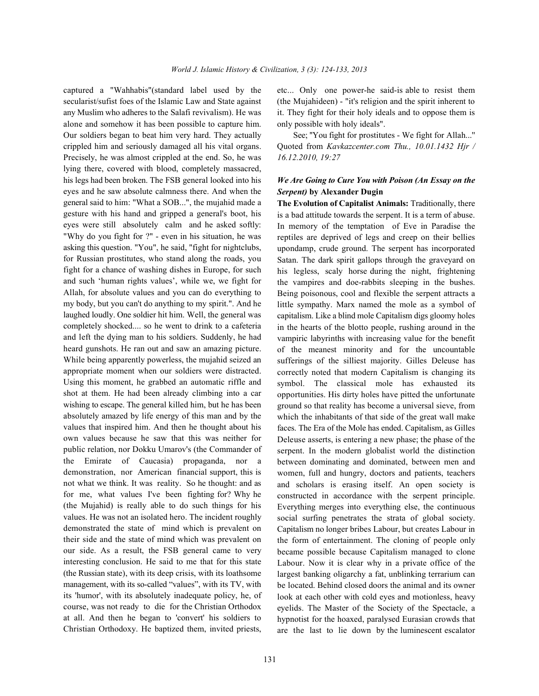secularist/sufist foes of the Islamic Law and State against (the Mujahideen) - "it's religion and the spirit inherent to any Muslim who adheres to the Salafi revivalism). He was it. They fight for their holy ideals and to oppose them is alone and somehow it has been possible to capture him. only possible with holy ideals". Our soldiers began to beat him very hard. They actually See; ''You fight for prostitutes - We fight for Allah...'' crippled him and seriously damaged all his vital organs. Quoted from *Kavkazcenter.com Thu., 10.01.1432 Hjr /* Precisely, he was almost crippled at the end. So, he was *16.12.2010, 19:27* lying there, covered with blood, completely massacred, his legs had been broken. The FSB general looked into his *We Are Going to Cure You with Poison (An Essay on the* eyes and he saw absolute calmness there. And when the general said to him: "What a SOB...", the mujahid made a gesture with his hand and gripped a general's boot, his eyes were still absolutely calm and he asked softly: "Why do you fight for ?" - even in his situation, he was asking this question. "You", he said, "fight for nightclubs, for Russian prostitutes, who stand along the roads, you fight for a chance of washing dishes in Europe, for such and such 'human rights values', while we, we fight for Allah, for absolute values and you can do everything to my body, but you can't do anything to my spirit.". And he laughed loudly. One soldier hit him. Well, the general was completely shocked.... so he went to drink to a cafeteria and left the dying man to his soldiers. Suddenly, he had heard gunshots. He ran out and saw an amazing picture. While being apparently powerless, the mujahid seized an appropriate moment when our soldiers were distracted. Using this moment, he grabbed an automatic riffle and shot at them. He had been already climbing into a car wishing to escape. The general killed him, but he has been absolutely amazed by life energy of this man and by the values that inspired him. And then he thought about his own values because he saw that this was neither for public relation, nor Dokku Umarov's (the Commander of the Emirate of Caucasia) propaganda, nor a demonstration, nor American financial support, this is not what we think. It was reality. So he thought: and as for me, what values I've been fighting for? Why he (the Mujahid) is really able to do such things for his values. He was not an isolated hero. The incident roughly demonstrated the state of mind which is prevalent on their side and the state of mind which was prevalent on our side. As a result, the FSB general came to very interesting conclusion. He said to me that for this state (the Russian state), with its deep crisis, with its loathsome management, with its so-called "values", with its TV, with its 'humor', with its absolutely inadequate policy, he, of course, was not ready to die for the Christian Orthodox at all. And then he began to 'convert' his soldiers to Christian Orthodoxy. He baptized them, invited priests,

131

captured a "Wahhabis"(standard label used by the etc... Only one power-he said-is able to resist them

# *Serpent)* **by Alexander Dugin**

**The Evolution of Capitalist Animals:** Traditionally, there is a bad attitude towards the serpent. It is a term of abuse. In memory of the temptation of Eve in Paradise the reptiles are deprived of legs and creep on their bellies upondamp, crude ground. The serpent has incorporated Satan. The dark spirit gallops through the graveyard on his legless, scaly horse during the night, frightening the vampires and doe-rabbits sleeping in the bushes. Being poisonous, cool and flexible the serpent attracts a little sympathy. Marx named the mole as a symbol of capitalism. Like a blind mole Capitalism digs gloomy holes in the hearts of the blotto people, rushing around in the vampiric labyrinths with increasing value for the benefit of the meanest minority and for the uncountable sufferings of the silliest majority. Gilles Deleuse has correctly noted that modern Capitalism is changing its symbol. The classical mole has exhausted its opportunities. His dirty holes have pitted the unfortunate ground so that reality has become a universal sieve, from which the inhabitants of that side of the great wall make faces. The Era of the Mole has ended. Capitalism, as Gilles Deleuse asserts, is entering a new phase; the phase of the serpent. In the modern globalist world the distinction between dominating and dominated, between men and women, full and hungry, doctors and patients, teachers and scholars is erasing itself. An open society is constructed in accordance with the serpent principle. Everything merges into everything else, the continuous social surfing penetrates the strata of global society. Capitalism no longer bribes Labour, but creates Labour in the form of entertainment. The cloning of people only became possible because Capitalism managed to clone Labour. Now it is clear why in a private office of the largest banking oligarchy a fat, unblinking terrarium can be located. Behind closed doors the animal and its owner look at each other with cold eyes and motionless, heavy eyelids. The Master of the Society of the Spectacle, a hypnotist for the hoaxed, paralysed Eurasian crowds that are the last to lie down by the luminescent escalator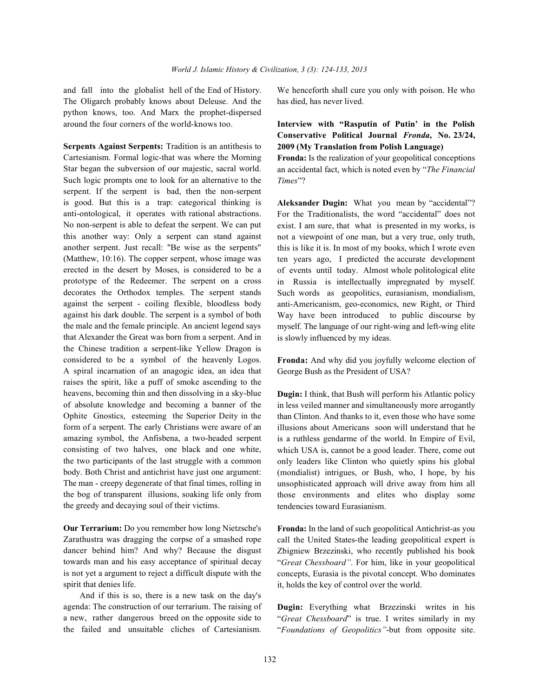The Oligarch probably knows about Deleuse. And the has died, has never lived. python knows, too. And Marx the prophet-dispersed around the four corners of the world-knows too. **Interview with "Rasputin of Putin' in the Polish**

**Serpents Against Serpents:** Tradition is an antithesis to Cartesianism. Formal logic-that was where the Morning Star began the subversion of our majestic, sacral world. Such logic prompts one to look for an alternative to the serpent. If the serpent is bad, then the non-serpent is good. But this is a trap: categorical thinking is anti-ontological, it operates with rational abstractions. No non-serpent is able to defeat the serpent. We can put this another way: Only a serpent can stand against another serpent. Just recall: "Be wise as the serpents" (Matthew, 10:16). The copper serpent, whose image was erected in the desert by Moses, is considered to be a prototype of the Redeemer. The serpent on a cross decorates the Orthodox temples. The serpent stands against the serpent - coiling flexible, bloodless body against his dark double. The serpent is a symbol of both the male and the female principle. An ancient legend says that Alexander the Great was born from a serpent. And in the Chinese tradition a serpent-like Yellow Dragon is considered to be a symbol of the heavenly Logos. A spiral incarnation of an anagogic idea, an idea that raises the spirit, like a puff of smoke ascending to the heavens, becoming thin and then dissolving in a sky-blue of absolute knowledge and becoming a banner of the Ophite Gnostics, esteeming the Superior Deity in the form of a serpent. The early Christians were aware of an amazing symbol, the Anfisbena, a two-headed serpent consisting of two halves, one black and one white, the two participants of the last struggle with a common body. Both Christ and antichrist have just one argument: The man - creepy degenerate of that final times, rolling in the bog of transparent illusions, soaking life only from the greedy and decaying soul of their victims.

**Our Terrarium:** Do you remember how long Nietzsche's Zarathustra was dragging the corpse of a smashed rope dancer behind him? And why? Because the disgust towards man and his easy acceptance of spiritual decay is not yet a argument to reject a difficult dispute with the spirit that denies life.

And if this is so, there is a new task on the day's agenda: The construction of our terrarium. The raising of a new, rather dangerous breed on the opposite side to the failed and unsuitable cliches of Cartesianism.

and fall into the globalist hell of the End of History. We henceforth shall cure you only with poison. He who

# **Conservative Political Journal** *Fronda***, No. 23/24, 2009 (My Translation from Polish Language)**

**Fronda:** Is the realization of your geopolitical conceptions an accidental fact, which is noted even by "*The Financial Times*"?

**Aleksander Dugin:** What you mean by "accidental"? For the Traditionalists, the word "accidental" does not exist. I am sure, that what is presented in my works, is not a viewpoint of one man, but a very true, only truth, this is like it is. In most of my books, which I wrote even ten years ago, I predicted the accurate development of events until today. Almost whole politological elite in Russia is intellectually impregnated by myself. Such words as geopolitics, eurasianism, mondialism, anti-Americanism, geo-economics, new Right, or Third Way have been introduced to public discourse by myself. The language of our right-wing and left-wing elite is slowly influenced by my ideas.

**Fronda:** And why did you joyfully welcome election of George Bush as the President of USA?

**Dugin:** I think, that Bush will perform his Atlantic policy in less veiled manner and simultaneously more arrogantly than Clinton. And thanks to it, even those who have some illusions about Americans soon will understand that he is a ruthless gendarme of the world. In Empire of Evil, which USA is, cannot be a good leader. There, come out only leaders like Clinton who quietly spins his global (mondialist) intrigues, or Bush, who, I hope, by his unsophisticated approach will drive away from him all those environments and elites who display some tendencies toward Eurasianism.

**Fronda:** In the land of such geopolitical Antichrist-as you call the United States-the leading geopolitical expert is Zbigniew Brzezinski, who recently published his book "*Great Chessboard"*. For him, like in your geopolitical concepts, Eurasia is the pivotal concept. Who dominates it, holds the key of control over the world.

**Dugin:** Everything what Brzezinski writes in his "*Great Chessboard*" is true. I writes similarly in my "*Foundations of Geopolitics"*-but from opposite site.